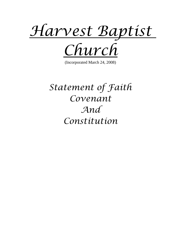

(Incorporated March 24, 2008)

# *Statement of Faith Covenant And Constitution*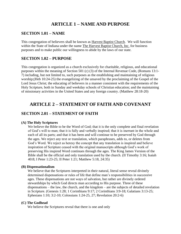# **ARTICLE 1 – NAME AND PURPOSE**

## **SECTION 1.01 – NAME**

This congregation of believers shall be known as Harvest Baptist Church. We will function within the State of Indiana under the name The Harvest Baptist Church, Inc. for business purposes and to make public our willingness to abide by the laws of our state.

## **SECTION 1.02 – PURPOSE**

This congregation is organized as a church exclusively for charitable, religious, and educational purposes within the meaning of Section 501 (c) (3) of the Internal Revenue Code, (Romans 13:1- 7) including, but not limited to, such purposes as the establishing and maintaining of religious worship;(Heb 10:24-25) the evangelizing of the unsaved by the proclaiming of the Gospel of the Lord Jesus Christ; the educating of believers in a manner consistent with the requirements of the Holy Scripture, both in Sunday and weekday schools of Christian education; and the maintaining of missionary activities in the United States and any foreign country. (Matthew 28:18-20)

# **ARTICLE 2 – STATEMENT OF FAITH AND COVENANT**

# **SECTION 2.01 – STATEMENT OF FAITH**

#### **(A) The Holy Scriptures**

We believe the Bible to be the Word of God; that it is the only complete and final revelation of God's will to man; that it is fully and verbally inspired; that it is inerrant in the whole and each of all its parts; and that it has been and will continue to be preserved by God through the ages. We reject any text or translation, which paraphrases, adds to, or deletes from God's Word. We reject as heresy the concept that any translation is inspired and believe inspiration of Scripture ceased with the original manuscripts although God's work of preserving His inspired Word continues through the ages. The King James Version of the Bible shall be the official and only translation used by the church. (II Timothy 3:16; Isaiah 40:8; I Peter 1:23-25; II Peter 1:21; Matthew 5:18, 24:35)

#### **(B) Dispensationalism**

We believe that the Scriptures interpreted in their natural, literal sense reveal divinely determined dispensations or rules of life that define man's responsibilities in successive ages. These dispensations are not ways of salvation, but rather are divinely ordered stewardships by which God directs man according to His purpose. Three of these dispensations – the law, the church, and the kingdom – are the subjects of detailed revelation in Scripture. (Genesis 1:28; 1 Corinthians 9:17; 2 Corinthians 3:9-18; Galatians 3:13-25; Ephesians 1:10; 3:2-10; Colossians 1:24-25, 27; Revelation 20:2-6)

#### **(C) The Godhead**

We believe the Scriptures reveal that there is one and only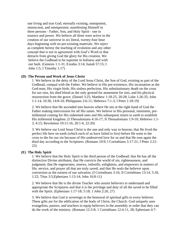one living and true God; eternally existing, omnipotent, omniscient, and omnipresent; manifesting Himself in three persons - Father, Son, and Holy Spirit - one in essence and power. We believe all three were active in the creation of our universe in six literal, twenty-four hour days beginning with no pre-existing materials. We reject as complete heresy the teaching of evolution and any other concept that is not in agreement with God's Word or that detracts from giving God the glory for His creation. We believe the Godhead to be supreme in holiness and with out fault. (Genesis 1:1-31; Exodus 3:14; Isaiah 57:15; I John 1:5; I Timothy 1:17)

#### **(D) The Person and Work of Jesus Christ**

1. We believe in the deity of the Lord Jesus Christ, the Son of God, existing as part of the Godhead, coequal with the Father. We believe in His pre-existence, His incarnation as the God-man, His virgin birth, His sinless perfection, His substitutionary death on the cross for our sins, his shed blood as the only ground for atonement for sins, and his physical resurrection from the grave. (Daniel 3:25; Matthew 1:18-25, 20:28; Luke 1:26-35; John 1:1-14, 10:30, 14:8-10; Philippians 2:6-11; Hebrews 7:1-3; I Peter 1:18-19)

2. We believe that He ascended into heaven where He sits at the right hand of God the Father making intercession for all His saints. We believe in His personal, imminent, premillennial coming for His redeemed ones and His subsequent return to earth to establish His millennial kingdom. (I Thessalonians 4:16-17; II Thessalonians 1:9-10; Hebrews 1:1- 3, 4:15; Revelation 19:11-16, 20:1-6, 22:20)

3. We believe our Lord Jesus Christ is the one and only way to heaven; that He lived the perfect life here on earth (which each of us have failed to live) before He went to the cross to die for our sin because of His undeserved love for us and that He rose again the third day according to the Scriptures. (Romans 10:9; I Corinthians 5:17-21; I Peter 2:21- 23)

#### **(E) The Holy Spirit**

1. We believe that the Holy Spirit is the third person of the Godhead; that He has all the distinctive Divine attributes; that He convicts the world of sin, righteousness, and judgment; that He regenerates, renews, indwells, enlightens, and empowers in matters of life, service, and prayer all that are truly saved; and that He seals the believer upon conversion as the earnest of our salvation. (I Corinthians 3:16; II Corinthians 13:14, 5:18, 1:22; Titus 3:5;Ephesians 1:13-14; John 16:8-11)

2. We believe that He is the divine Teacher who assists believers to understand and appropriate the Scriptures and that it is the privilege and duty of all the saved to be filled with the Spirit. (Ephesians 1:17-18; 5:18; 1 John 2:20, 27)

3. We believe that God is sovereign in the bestowal of spiritual gifts to every believer. These gifts are for the edification of the body of Christ, the Church. God uniquely uses evangelists, pastors, and teachers to equip believers in the assembly in order that they can do the work of the ministry. (Romans 12:3-8; 1 Corinthians 12:4-11, 28; Ephesians 4:7-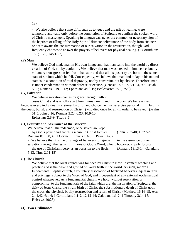#### 12)

4. We also believe that some gifts, such as tongues and the gift of healing, were temporary and valid only before the completion of Scripture to confirm the spoken word of Christ's messengers. Speaking in tongues was never the common or necessary sign of the baptism or filling of the Holy Spirit. Ultimate deliverance of the body from sickness or death awaits the consummation of our salvation in the resurrection, though God frequently chooses to answer the prayers of believers for physical healing. (1 Corinthians 1:22; 13:8; 14:21-22)

#### **(F) Man**

We believe God made man in His own image and that man came into the world by direct creation of God, not by evolution. We believe that man was created in innocence, but by voluntary transgression fell from that state and that all his posterity are born in the same state of sin into which he fell. Consequently, we believe that mankind today in his natural state is in a condition of total depravity, not by constraint, but by choice. Therefore, man is under condemnation without defense or excuse. (Genesis 1:26-27, 3:1-24, 9:6; Isaiah 53:5; Romans 3:19, 5:12; Ephesians 4:18-19; Ecclesiastes 7:29, 7:20)

#### **(G) Salvation**

We believe salvation comes by grace through faith in

Jesus Christ and is wholly apart from human merit and works. We believe that because every individual is a sinner by birth and choice, he must exercise personal faith in the death, burial, and resurrection of Christ (who died once for all) in order to be saved. (Psalm 51:5; John 3:16; Romans 3:23, 6:23, 10:9-10;

Ephesians 2:8-9; Titus 3:5)

#### **(H) Security and Assurance of the Believer**

We believe that all the redeemed, once saved, are kept

by God's power and are thus secure in Christ forever. (John 6:37-40; 10:27-29;

Romans 8:1, 38,39; 1 Corin- thians 1:4-8; 1 Peter 1:4-5)

2. We believe that it is the privilege of believers to rejoice in the assurance of their salvation through the testi- mony of God's Word, which, however, clearly forbids the use of Christian liberty as an occasion to the flesh. (Romans 13:13-14; Galatians 5:13; Titus 2:11-15)

#### **(I) The Church**

We believe that the local church was founded by Christ in New Testament teaching and practice and is the pillar and ground of God's truth in the world. As such, we are a Fundamental Baptist church, a voluntary association of baptized believers, equal in rank and privilege, subject to the Word of God, and independent of any external ecclesiastical control whatsoever. As a fundamental church, we hold, without reservation or compromise, to the fundamentals of the faith which are: the inspiration of Scripture, the deity of Jesus Christ, the virgin birth of Christ, the substitutionary death of Christ upon the cross, the physical, bodily resurrection and return of Christ. (Matthew 16:16-18; Acts 2:41,42, 6:1-4; 1 Corinthians 1:1-2, 12:12-14; Galatians 1:1-2; 1 Timothy 3:14-15; Hebrews 10:25)

#### **(J) Two Ordinances**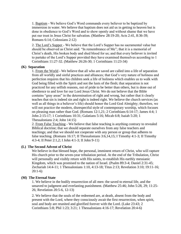1. Baptism - We believe God's Word commands every believer to be baptized by immersion in water. We believe that baptism does not aid us in getting to heaven but is done in obedience to God's Word and to show openly and without shame that we have put our trust in Jesus Christ for salvation. (Matthew 28:19-20; Acts 2:41, 8:36-39; Romans 6:14; Colossians 2:12)

2. The Lord's Supper - We believe that the Lord's Supper has no sacramental value but should be observed as Christ said. "In remembrance of Me"; that it is a memorial of Christ's death, His broken body and shed blood for us; and that every believer is invited to partake of the Lord's Supper provided they have examined themselves according to 1 Corinthians 11:27-32. (Matthew 26:26-30; 1 Corinthians 11:23-34)

#### **(K) Separation**

1. From the World - We believe that all who are saved are called into a life of separation from all worldly and sinful practices and alliances; that God's very nature of holiness and perfection requires that his children seek a life of holiness which enables us to walk with God being filled with the Spirit and not the lusts of the flesh; that separation is not practiced for any selfish reasons, out of pride to be better than others, but is done out of obedience to and love for our Lord Jesus Christ. We do not believe that the Bible contains "gray areas" in the determination of right and wrong, but rather that it clearly teaches that sin is indeed sin and right is indeed right. We believe the church services (as well as all things in a believer's life) should honor the Lord God Almighty; therefore, we will not practice the modern, disrespectful style of contemporary worship, which focuses on pleasing man rather than God. (Romans 12:1,21; 2 Corinthians 6:14-17; James 4:4; 1 John 2:15-17; 1 Corinthians 10:31; Galatians 5:16; Micah 6:8; Isaiah 5:20; 1 Thessalonians 2:4; John 14:15)

2. From False Teaching - We believe that false teaching is anything contrary to revealed Biblical doctrine; that we should separate ourselves from any false teachers and teachings; and that we should not cooperate with any person or group that adheres to false teaching. (Romans 16:17; II Thessalonians 3:6,14,15; I Timothy 4:1-3; II Timothy 4:3-4; II Peter 2:1,2; I John 4:1-3; II John 9-11)

#### **(L) The Second Advent of Christ**

We believe in that blessed hope, the personal, imminent return of Christ, who will rapture His church prior to the seven-year tribulation period. At the end of the Tribulation, Christ will personally and visibly return with His saints, to establish His earthly messianic Kingdom, which was promised to the nation of Israel. (Psalm 89:3-4; Daniel 2:31-45; Zechariah 14:4-11; 1 Thessalonians 1:10, 4:13-18; Titus 2:13; Revelation 3:10; 19:11-16; 20:1-6)

#### **(M) The Eternal State**

1. We believe in the bodily resurrection of all men: the saved to eternal life, and the unsaved to judgment and everlasting punishment. (Matthew 25:46; John 5:28, 29; 11:25- 26; Revelation 20:5-6, 12-13)

2. We believe that the souls of the redeemed are, at death, absent from the body and present with the Lord, where they consciously await the first resurrection, when spirit, soul and body are reunited and glorified forever with the Lord. (Luke 23:43; 2 Corinthians 5:8; Phil 1:23; 3:21; 1 Thessalonians 4:16-17; Revelation 20:4-6)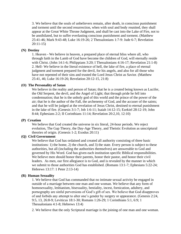3. We believe that the souls of unbelievers remain, after death, in conscious punishment and torment until the second resurrection, when with soul and body reunited, they shall appear at the Great White Throne Judgment, and shall be cast into the Lake of Fire, not to be annihilated, but to suffer everlasting conscious punishment and torment. (Matthew 25:41-46; Mark 9:43-48; Luke 16:19-26; 2 Thessalonians 1:7-9: Jude 6-7; Revelation 20:11-15)

#### **(N) Destiny**

1. Heaven - We believe in heaven, a prepared place of eternal bliss where all, who through faith in the Lamb of God have become the children of God, will eternally reside with Christ. (John 14:1-6; Philippians 3:20; I Thessalonians 4:16-17; Revelation 21:1-8) 2. Hell- We believe in the literal existence of hell, the lake of fire, a place of eternal judgment and torment prepared for the devil, for his angels, and also for all those who have not repented of their sins and trusted the Lord Jesus Christ as Savior. (Matthew 25:41, 46; Luke 16:19-26; Revelation 20:12-15, 21:8)

#### **(O) The Personality of Satan**

We believe in the reality and person of Satan; that he is a created being known as Lucifer, the Old Serpent, the devil, and the Angel of Light; that through pride he fell into condemnation; that he is the unholy god of this world and the prince of the power of the air; that he is the author of the Fall, the archenemy of God, and the accuser of the saints; and that he will be judged at the revelation of Jesus Christ, destined to eternal punishment in the lake of fire. (Genesis 3:1-7; Job 1:6-11; Isaiah 14:12-15; Ezekiel 28:12-19; John 8:44; Ephesians 2:2; II Corinthians 11:14; Revelation 20:2,10, 12:10)

#### **(P) Creation**

We believe that God created the universe in six literal, 24-hour periods. We reject evolution, The Gap Theory, the Day-Age Theory, and Theistic Evolution as unscriptural theories of origin. (Genesis 1-2; Exodus 20:11)

#### **(Q) Civil Government**

We believe that God has ordained and created all authority consisting of three basic institutions: 1) the home, 2) the church, and 3) the state. Every person is subject to these authorities, but all (including the authorities themselves) are answerable to God and governed by His Word. God has given each institution specific Biblical responsibilities. We believe men should honor their parents, honor their pastor, and honor their civil leaders. As men, our first allegiance is to God, and is revealed by the manner in which we submit to those authorities God has established. (Romans 13:1-7; Ephesians 5:22-24; Hebrews 13:17: 1 Peter 2:13-14)

#### **(R) Human Sexuality**

1. We believe that God has commanded that no intimate sexual activity be engaged in outside of a marriage between one man and one woman. We believe that any form of homosexuality, lesbianism, bisexuality, bestiality, incest, fornication, adultery, and pornography are sinful perversions of God's gift of sex. We believe that God disapproves of and forbids any attempt to alter one's gender by surgery or appearance. (Genesis 2:24, 9:5, 13, 26:8-9; Leviticus 18:1-30; Romans 1:26-29; 1 Corinthians 5:1, 6:9; 1 Thessalonians 4:1-8; Hebrews 13:4)

2. We believe that the only Scriptural marriage is the joining of one man and one woman.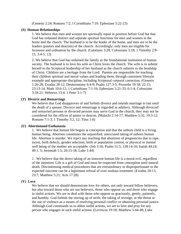(Genesis 2:24; Romans 7:2; I Corinthians 7:10: Ephesians 5:22-23)

#### **(S) Human Relationships**

1. We believe that men and women are spiritually equal in position before God but that God has ordained distinct and separate spiritual functions for men and women in the home and the church. The husband is to be the leader of the home, and men are to be the leaders (pastors and deacons) of the church. Accordingly, only men are eligible for licensure and ordination by the church. (Galatians 3:28; Colossians 3:18; 1 Timothy 2:8- 15, 3:4-5, 12)

2. We believe that God has ordained the family as the foundational institution of human society. The husband is to love his wife as Christ loves the church. The wife is to submit herself to the Scriptural leadership of her husband as the church submits to the headship of Christ. Children are a heritage from the Lord. Parents are responsible for teaching their children spiritual and moral values and leading them, through consistent lifestyle example and appropriate discipline, including Scriptural corporal correction. (Genesis 1:26-28; Exodus 20:12; Deuteronomy 6:4-9; Psalm 127:3-5; Proverbs 19:18; 22:15; 23:13-14; Mark 10:6-12; 1 Corinthians 7:1-16; Ephesians 5:21-33; 6:1-4; Colossians 3:18-21; Hebrews 13:4; 1 Peter 3:1-7)

#### **(T) Divorce and Remarriage**

We believe that God disapproves of and forbids divorce and intends marriage to last until the death of a spouse. Divorce and remarriage is regarded as adultery. Although divorced and remarried persons or divorced persons may serve God in the church, they may not be considered for the offices of pastor or deacon. (Malachi 2:14-17; Matthew 5:32, 19:3-12; Romans 7:1-3; 1 Timothy 3:2, 12; Titus 1:6)

#### **(U) Abortionand Euthanasia**

1. We believe that human life begins at conception and that the unborn child is a living human being. Abortion constitutes the unjustified, unexcused taking of unborn human life. Abortion is murder. We reject any teaching that abortions of pregnancies due to rape, incest, birth defects, gender selection, birth or population control, or physical or mental well being of the mother are acceptable. (Job 3:16; Psalm 51:5; 139:14-16; Isaiah 44:24; 49:1, 5; Jeremiah 1:5; 20:15-18; Luke 1:44)

2. We believe that the direct taking of an innocent human life is a moral evil, regardless of the intention. Life is a gift of God and must be respected from conception until natural death. Discontinuing medical procedures that are extraordinary or disproportionate to the expected outcome can be a legitimate refusal of over-zealous treatment. (Exodus 20:13, 23:7; Matthew 5:21; Acts 17:28)

#### **(V) Love**

We believe that we should demonstrate love for others, not only toward fellow believers, but also toward those who are not believers, those who oppose us, and those who engage in sinful actions. We are to deal with those who oppose us graciously, gently, patiently, and humbly. God forbids the stirring up of strife, the taking of revenge, or the threat or the use of violence as a means of resolving personal conflict or obtaining personal justice. Although God commands us to abhor sinful actions, we are to love and pray for any person who engages in such sinful actions. (Leviticus 19:18; Matthew 5:44-48; Luke